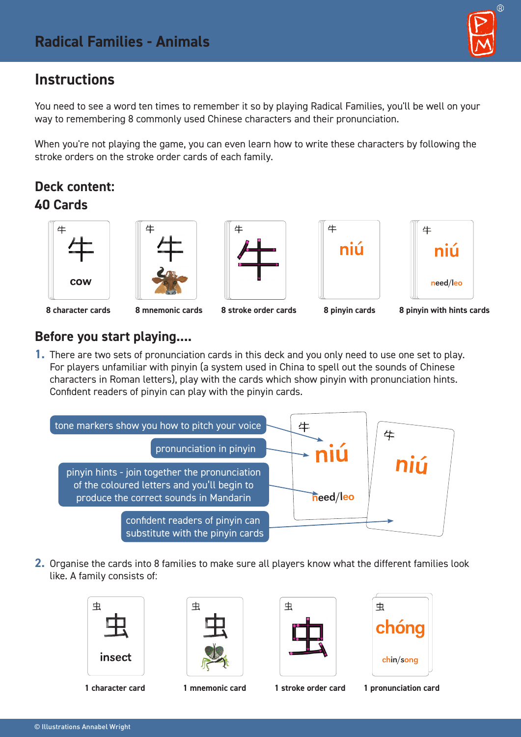# **Instructions**

You need to see a word ten times to remember it so by playing Radical Families, you'll be well on your way to remembering 8 commonly used Chinese characters and their pronunciation.

When you're not playing the game, you can even learn how to write these characters by following the stroke orders on the stroke order cards of each family.

## **Deck content: 40 Cards**











#### **8 character cards 8 mnemonic cards 8 stroke order cards 8 pinyin cards 8 pinyin with hints cards**

#### **Before you start playing....**

**1.** There are two sets of pronunciation cards in this deck and you only need to use one set to play. For players unfamiliar with pinyin (a system used in China to spell out the sounds of Chinese characters in Roman letters), play with the cards which show pinyin with pronunciation hints. Confident readers of pinyin can play with the pinyin cards.



**2.** Organise the cards into 8 families to make sure all players know what the different families look like. A family consists of:





| 虫 |
|---|
|   |
|   |







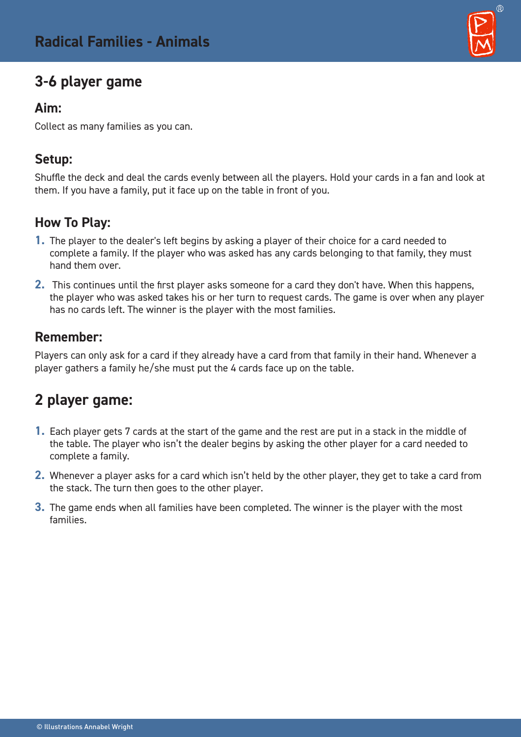# **3-6 player game**

#### **Aim:**

Collect as many families as you can.

### **Setup:**

Shuffle the deck and deal the cards evenly between all the players. Hold your cards in a fan and look at them. If you have a family, put it face up on the table in front of you.

### **How To Play:**

- **1.** The player to the dealer's left begins by asking a player of their choice for a card needed to complete a family. If the player who was asked has any cards belonging to that family, they must hand them over.
- **2.** This continues until the first player asks someone for a card they don't have. When this happens, the player who was asked takes his or her turn to request cards. The game is over when any player has no cards left. The winner is the player with the most families.

### **Remember:**

Players can only ask for a card if they already have a card from that family in their hand. Whenever a player gathers a family he/she must put the 4 cards face up on the table.

# **2 player game:**

- **1.** Each player gets 7 cards at the start of the game and the rest are put in a stack in the middle of the table. The player who isn't the dealer begins by asking the other player for a card needed to complete a family.
- **2.** Whenever a player asks for a card which isn't held by the other player, they get to take a card from the stack. The turn then goes to the other player.
- **3.** The game ends when all families have been completed. The winner is the player with the most families.